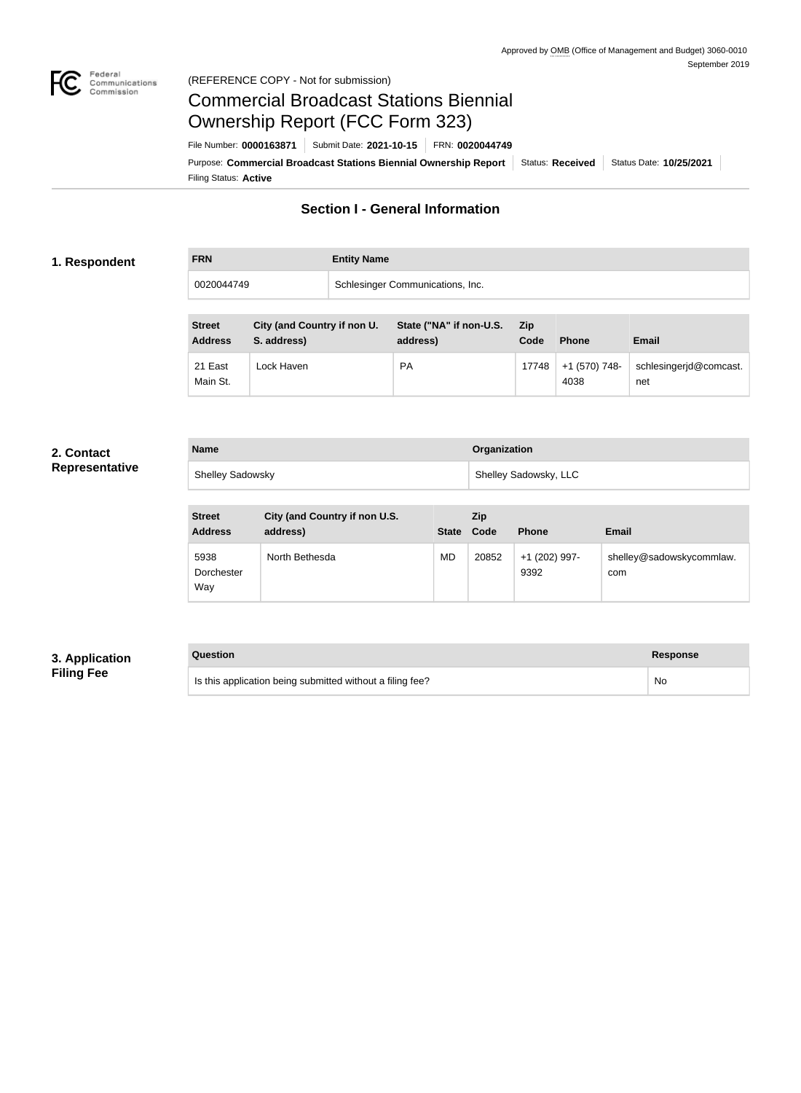

#### Federal<br>Communications<br>Commission (REFERENCE COPY - Not for submission)

# Commercial Broadcast Stations Biennial Ownership Report (FCC Form 323)

Filing Status: **Active** Purpose: Commercial Broadcast Stations Biennial Ownership Report Status: Received Status Date: 10/25/2021 File Number: **0000163871** Submit Date: **2021-10-15** FRN: **0020044749**

### **Section I - General Information**

#### **1. Respondent**

**FRN Entity Name**

0020044749 Schlesinger Communications, Inc.

| <b>Street</b><br><b>Address</b> | City (and Country if non U.<br>S. address) | State ("NA" if non-U.S.<br>address) | <b>Zip</b><br>Code | <b>Phone</b>          | <b>Email</b>                  |
|---------------------------------|--------------------------------------------|-------------------------------------|--------------------|-----------------------|-------------------------------|
| 21 East<br>Main St.             | Lock Haven                                 | <b>PA</b>                           | 17748              | +1 (570) 748-<br>4038 | schlesingerjd@comcast.<br>net |

#### **2. Contact Representative**

| <b>Name</b>             | Organization          |
|-------------------------|-----------------------|
| <b>Shelley Sadowsky</b> | Shelley Sadowsky, LLC |

| <b>Street</b><br><b>Address</b> | City (and Country if non U.S.<br>address) | <b>State</b> | <b>Zip</b><br>Code | <b>Phone</b>          | <b>Email</b>                    |
|---------------------------------|-------------------------------------------|--------------|--------------------|-----------------------|---------------------------------|
| 5938<br>Dorchester<br>Way       | North Bethesda                            | MD           | 20852              | +1 (202) 997-<br>9392 | shelley@sadowskycommlaw.<br>com |

#### **3. Application Filing Fee**

# **Question Response** Is this application being submitted without a filing fee? No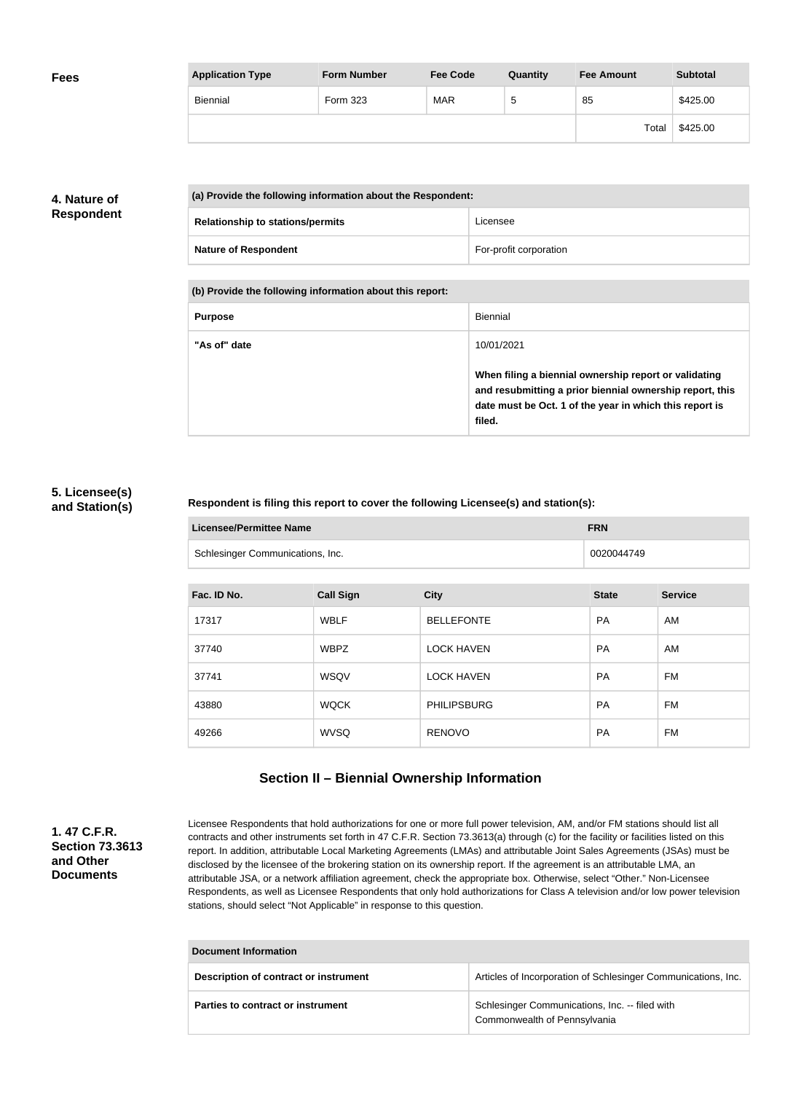| <b>Fees</b> | <b>Application Type</b> | <b>Form Number</b> | <b>Fee Code</b> | Quantity | <b>Fee Amount</b> | <b>Subtotal</b> |
|-------------|-------------------------|--------------------|-----------------|----------|-------------------|-----------------|
|             | Biennial                | Form 323           | MAR             | ు        | 85                | \$425.00        |
|             |                         |                    |                 |          | Total             | \$425.00        |

### **4. Nature of Respondent**

| (a) Provide the following information about the Respondent: |                        |
|-------------------------------------------------------------|------------------------|
| <b>Relationship to stations/permits</b>                     | Licensee               |
| <b>Nature of Respondent</b>                                 | For-profit corporation |

**(b) Provide the following information about this report:**

| <b>Purpose</b> | Biennial                                                                                                                                                                               |
|----------------|----------------------------------------------------------------------------------------------------------------------------------------------------------------------------------------|
| "As of" date   | 10/01/2021                                                                                                                                                                             |
|                | When filing a biennial ownership report or validating<br>and resubmitting a prior biennial ownership report, this<br>date must be Oct. 1 of the year in which this report is<br>filed. |

#### **5. Licensee(s) and Station(s)**

#### **Respondent is filing this report to cover the following Licensee(s) and station(s):**

| Licensee/Permittee Name          | <b>FRN</b> |
|----------------------------------|------------|
| Schlesinger Communications, Inc. | 0020044749 |

| Fac. ID No. | <b>Call Sign</b> | <b>City</b>        | <b>State</b> | <b>Service</b> |
|-------------|------------------|--------------------|--------------|----------------|
| 17317       | <b>WBLF</b>      | <b>BELLEFONTE</b>  | <b>PA</b>    | AM             |
| 37740       | <b>WBPZ</b>      | <b>LOCK HAVEN</b>  | <b>PA</b>    | AM             |
| 37741       | WSQV             | <b>LOCK HAVEN</b>  | <b>PA</b>    | FM             |
| 43880       | <b>WQCK</b>      | <b>PHILIPSBURG</b> | <b>PA</b>    | FM             |
| 49266       | <b>WVSQ</b>      | <b>RENOVO</b>      | <b>PA</b>    | FM             |

## **Section II – Biennial Ownership Information**

#### **1. 47 C.F.R. Section 73.3613 and Other Documents**

Licensee Respondents that hold authorizations for one or more full power television, AM, and/or FM stations should list all contracts and other instruments set forth in 47 C.F.R. Section 73.3613(a) through (c) for the facility or facilities listed on this report. In addition, attributable Local Marketing Agreements (LMAs) and attributable Joint Sales Agreements (JSAs) must be disclosed by the licensee of the brokering station on its ownership report. If the agreement is an attributable LMA, an attributable JSA, or a network affiliation agreement, check the appropriate box. Otherwise, select "Other." Non-Licensee Respondents, as well as Licensee Respondents that only hold authorizations for Class A television and/or low power television stations, should select "Not Applicable" in response to this question.

| <b>Document Information</b>           |                                                                                |  |
|---------------------------------------|--------------------------------------------------------------------------------|--|
| Description of contract or instrument | Articles of Incorporation of Schlesinger Communications, Inc.                  |  |
| Parties to contract or instrument     | Schlesinger Communications, Inc. -- filed with<br>Commonwealth of Pennsylvania |  |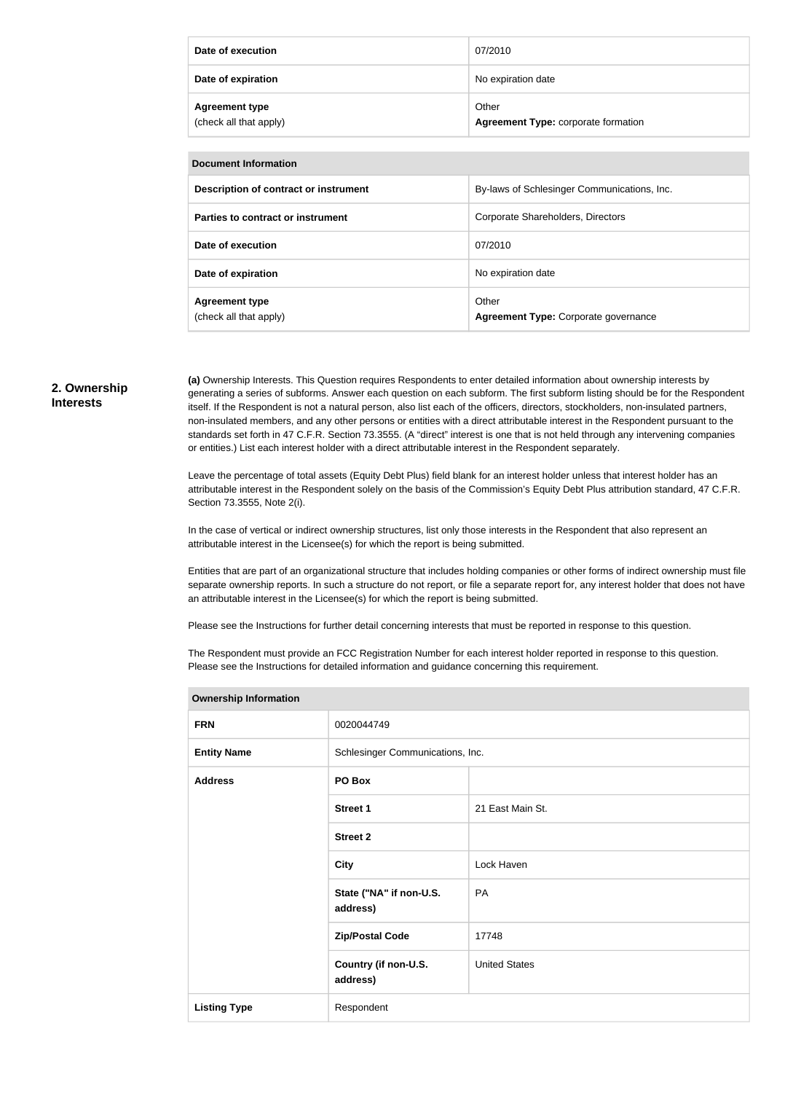| Date of execution                               | 07/2010                                      |
|-------------------------------------------------|----------------------------------------------|
| Date of expiration                              | No expiration date                           |
| <b>Agreement type</b><br>(check all that apply) | Other<br>Agreement Type: corporate formation |

| Document Information                            |                                               |  |
|-------------------------------------------------|-----------------------------------------------|--|
| Description of contract or instrument           | By-laws of Schlesinger Communications, Inc.   |  |
| Parties to contract or instrument               | Corporate Shareholders, Directors             |  |
| Date of execution                               | 07/2010                                       |  |
| Date of expiration                              | No expiration date                            |  |
| <b>Agreement type</b><br>(check all that apply) | Other<br>Agreement Type: Corporate governance |  |

#### **2. Ownership Interests**

**(a)** Ownership Interests. This Question requires Respondents to enter detailed information about ownership interests by generating a series of subforms. Answer each question on each subform. The first subform listing should be for the Respondent itself. If the Respondent is not a natural person, also list each of the officers, directors, stockholders, non-insulated partners, non-insulated members, and any other persons or entities with a direct attributable interest in the Respondent pursuant to the standards set forth in 47 C.F.R. Section 73.3555. (A "direct" interest is one that is not held through any intervening companies or entities.) List each interest holder with a direct attributable interest in the Respondent separately.

Leave the percentage of total assets (Equity Debt Plus) field blank for an interest holder unless that interest holder has an attributable interest in the Respondent solely on the basis of the Commission's Equity Debt Plus attribution standard, 47 C.F.R. Section 73.3555, Note 2(i).

In the case of vertical or indirect ownership structures, list only those interests in the Respondent that also represent an attributable interest in the Licensee(s) for which the report is being submitted.

Entities that are part of an organizational structure that includes holding companies or other forms of indirect ownership must file separate ownership reports. In such a structure do not report, or file a separate report for, any interest holder that does not have an attributable interest in the Licensee(s) for which the report is being submitted.

Please see the Instructions for further detail concerning interests that must be reported in response to this question.

The Respondent must provide an FCC Registration Number for each interest holder reported in response to this question. Please see the Instructions for detailed information and guidance concerning this requirement.

| <b>Ownership Information</b> |                                     |                      |
|------------------------------|-------------------------------------|----------------------|
| <b>FRN</b>                   | 0020044749                          |                      |
| <b>Entity Name</b>           | Schlesinger Communications, Inc.    |                      |
| <b>Address</b>               | PO Box                              |                      |
|                              | <b>Street 1</b>                     | 21 East Main St.     |
|                              | <b>Street 2</b>                     |                      |
|                              | <b>City</b>                         | Lock Haven           |
|                              | State ("NA" if non-U.S.<br>address) | PA                   |
|                              | <b>Zip/Postal Code</b>              | 17748                |
|                              | Country (if non-U.S.<br>address)    | <b>United States</b> |
| <b>Listing Type</b>          | Respondent                          |                      |

#### **Ownership Information**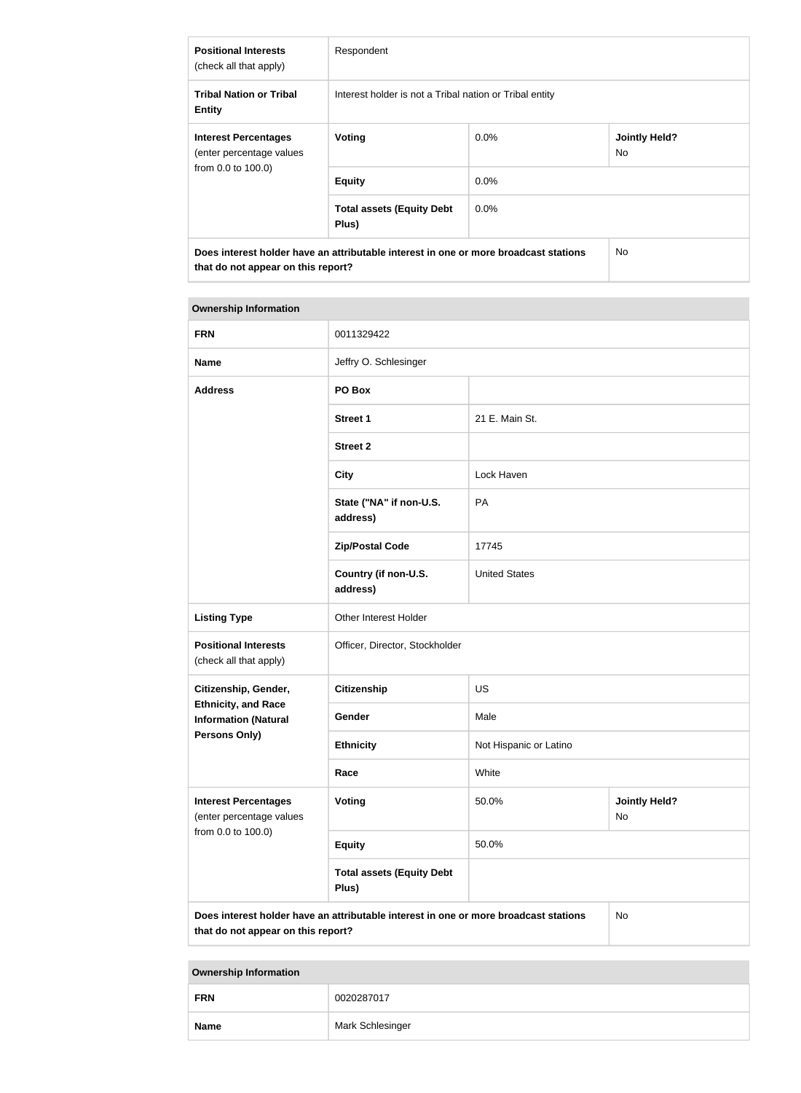| <b>Positional Interests</b><br>(check all that apply)                                                                      | Respondent                                              |         |                             |
|----------------------------------------------------------------------------------------------------------------------------|---------------------------------------------------------|---------|-----------------------------|
| <b>Tribal Nation or Tribal</b><br><b>Entity</b>                                                                            | Interest holder is not a Tribal nation or Tribal entity |         |                             |
| <b>Interest Percentages</b><br>(enter percentage values<br>from 0.0 to 100.0)                                              | Voting                                                  | $0.0\%$ | <b>Jointly Held?</b><br>No. |
|                                                                                                                            | <b>Equity</b>                                           | 0.0%    |                             |
|                                                                                                                            | <b>Total assets (Equity Debt</b><br>Plus)               | $0.0\%$ |                             |
| Does interest holder have an attributable interest in one or more broadcast stations<br>that do not appear on this report? |                                                         | No.     |                             |

#### **Ownership Information**

| <b>FRN</b>                                                                                                                       | 0011329422                                |                        |                            |
|----------------------------------------------------------------------------------------------------------------------------------|-------------------------------------------|------------------------|----------------------------|
|                                                                                                                                  |                                           |                        |                            |
| <b>Name</b>                                                                                                                      | Jeffry O. Schlesinger                     |                        |                            |
| <b>Address</b>                                                                                                                   | PO Box                                    |                        |                            |
|                                                                                                                                  | <b>Street 1</b>                           | 21 E. Main St.         |                            |
|                                                                                                                                  | <b>Street 2</b>                           |                        |                            |
|                                                                                                                                  | <b>City</b>                               | Lock Haven             |                            |
|                                                                                                                                  | State ("NA" if non-U.S.<br>address)       | PA                     |                            |
|                                                                                                                                  | <b>Zip/Postal Code</b>                    | 17745                  |                            |
|                                                                                                                                  | Country (if non-U.S.<br>address)          | <b>United States</b>   |                            |
| <b>Listing Type</b>                                                                                                              | Other Interest Holder                     |                        |                            |
| <b>Positional Interests</b><br>(check all that apply)                                                                            | Officer, Director, Stockholder            |                        |                            |
| Citizenship, Gender,                                                                                                             | <b>Citizenship</b>                        | <b>US</b>              |                            |
| <b>Ethnicity, and Race</b><br><b>Information (Natural</b>                                                                        | Gender                                    | Male                   |                            |
| <b>Persons Only)</b>                                                                                                             | <b>Ethnicity</b>                          | Not Hispanic or Latino |                            |
|                                                                                                                                  | Race                                      | White                  |                            |
| <b>Interest Percentages</b><br>(enter percentage values<br>from 0.0 to 100.0)                                                    | Voting                                    | 50.0%                  | <b>Jointly Held?</b><br>No |
|                                                                                                                                  | <b>Equity</b>                             | 50.0%                  |                            |
|                                                                                                                                  | <b>Total assets (Equity Debt</b><br>Plus) |                        |                            |
| Does interest holder have an attributable interest in one or more broadcast stations<br>No<br>that do not appear on this report? |                                           |                        |                            |

**Ownership Information**

| <b>FRN</b>  | 0020287017       |
|-------------|------------------|
| <b>Name</b> | Mark Schlesinger |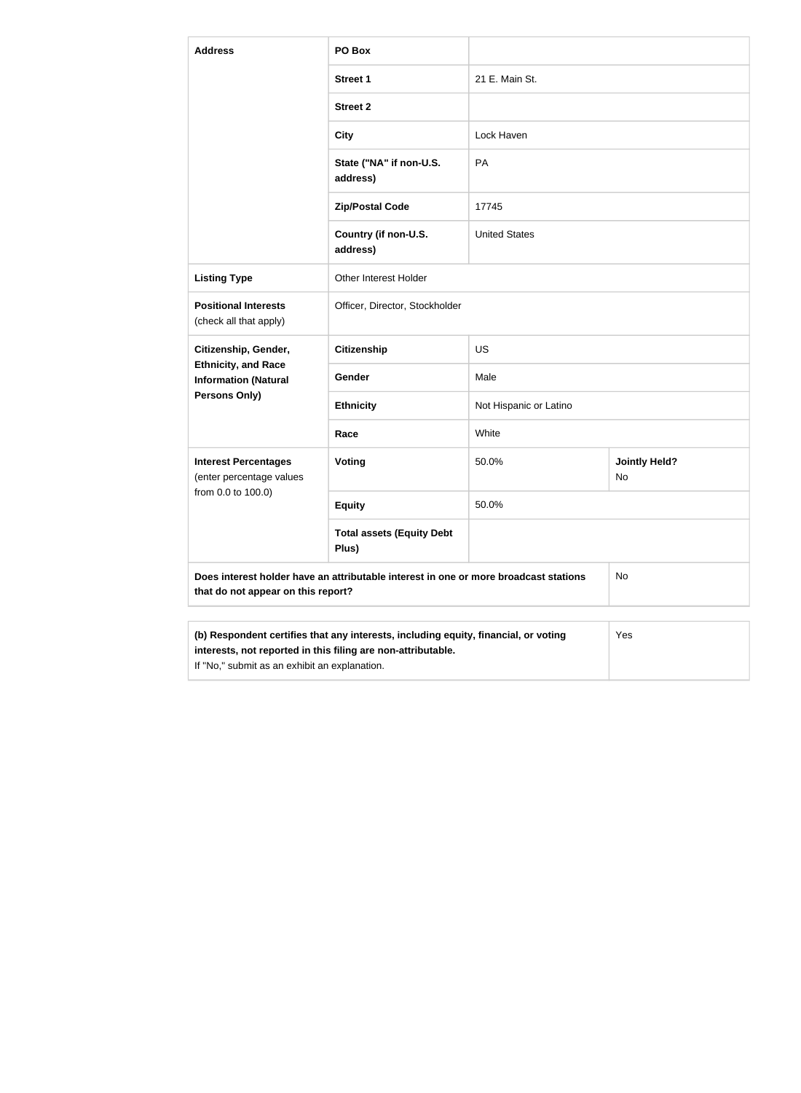| <b>Address</b>                                                                                                                          | PO Box                                                                              |                        |                            |  |
|-----------------------------------------------------------------------------------------------------------------------------------------|-------------------------------------------------------------------------------------|------------------------|----------------------------|--|
|                                                                                                                                         | <b>Street 1</b>                                                                     | 21 E. Main St.         |                            |  |
|                                                                                                                                         | <b>Street 2</b>                                                                     |                        |                            |  |
|                                                                                                                                         | <b>City</b>                                                                         | Lock Haven             |                            |  |
|                                                                                                                                         | State ("NA" if non-U.S.<br>address)                                                 | PA                     |                            |  |
|                                                                                                                                         | <b>Zip/Postal Code</b>                                                              | 17745                  |                            |  |
|                                                                                                                                         | Country (if non-U.S.<br>address)                                                    | <b>United States</b>   |                            |  |
| <b>Listing Type</b>                                                                                                                     | <b>Other Interest Holder</b>                                                        |                        |                            |  |
| <b>Positional Interests</b><br>(check all that apply)                                                                                   | Officer, Director, Stockholder                                                      |                        |                            |  |
| Citizenship, Gender,                                                                                                                    | <b>Citizenship</b>                                                                  | <b>US</b>              |                            |  |
| <b>Ethnicity, and Race</b><br><b>Information (Natural</b>                                                                               | Gender                                                                              | Male                   |                            |  |
| Persons Only)                                                                                                                           | <b>Ethnicity</b>                                                                    | Not Hispanic or Latino |                            |  |
|                                                                                                                                         | Race                                                                                | White                  |                            |  |
| <b>Interest Percentages</b><br>(enter percentage values                                                                                 | Voting                                                                              | 50.0%                  | <b>Jointly Held?</b><br>No |  |
| from 0.0 to 100.0)                                                                                                                      | <b>Equity</b>                                                                       | 50.0%                  |                            |  |
|                                                                                                                                         | <b>Total assets (Equity Debt</b><br>Plus)                                           |                        |                            |  |
| Does interest holder have an attributable interest in one or more broadcast stations<br><b>No</b><br>that do not appear on this report? |                                                                                     |                        |                            |  |
|                                                                                                                                         | (b) Respondent certifies that any interests, including equity, financial, or voting |                        | <b>Yes</b>                 |  |

| (b) Respondent certifies that any interests, including equity, financial, or voting | Yes |
|-------------------------------------------------------------------------------------|-----|
| interests, not reported in this filing are non-attributable.                        |     |
| If "No," submit as an exhibit an explanation.                                       |     |
|                                                                                     |     |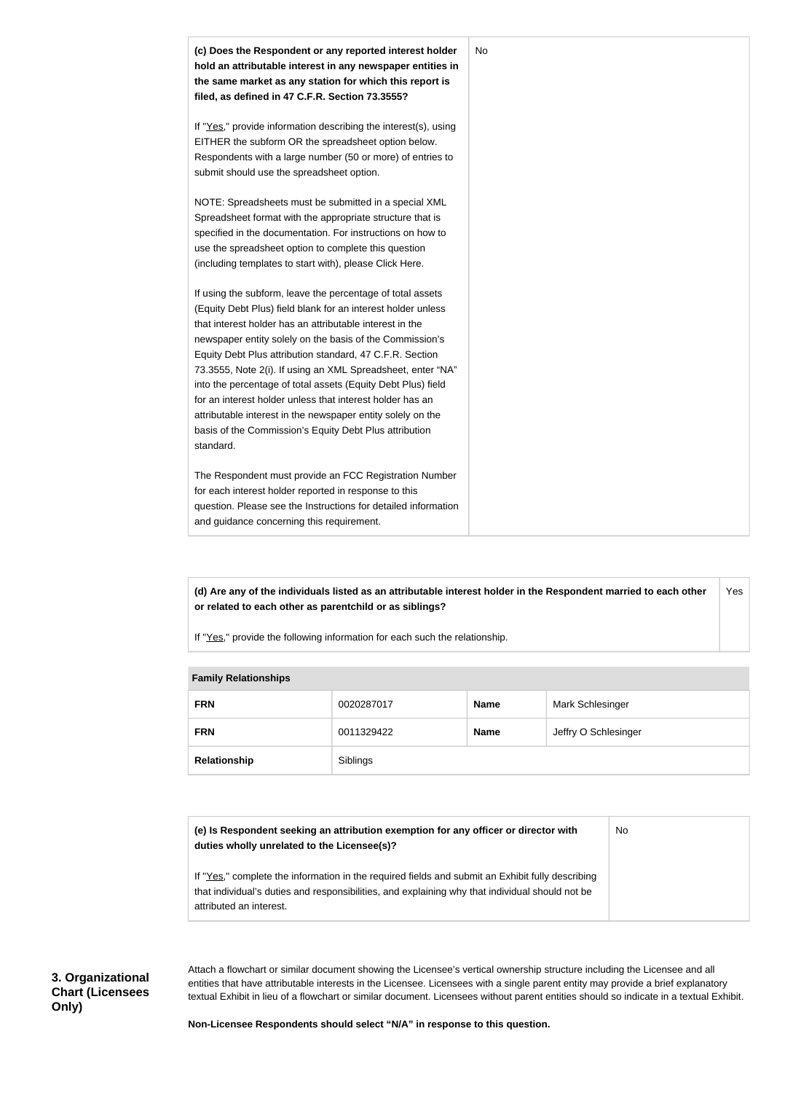

**(d) Are any of the individuals listed as an attributable interest holder in the Respondent married to each other or related to each other as parentchild or as siblings?** Yes

If "Yes," provide the following information for each such the relationship.

| <b>Fallilly INGIALIVIISHIPS</b> |            |             |                      |
|---------------------------------|------------|-------------|----------------------|
| <b>FRN</b>                      | 0020287017 | <b>Name</b> | Mark Schlesinger     |
| <b>FRN</b>                      | 0011329422 | <b>Name</b> | Jeffry O Schlesinger |
| Relationship                    | Siblings   |             |                      |

#### **Family Relationships**

| (e) Is Respondent seeking an attribution exemption for any officer or director with<br>duties wholly unrelated to the Licensee(s)?                                                                  | No. |
|-----------------------------------------------------------------------------------------------------------------------------------------------------------------------------------------------------|-----|
| If "Yes," complete the information in the required fields and submit an Exhibit fully describing<br>that individual's duties and responsibilities, and explaining why that individual should not be |     |
| attributed an interest.                                                                                                                                                                             |     |

Attach a flowchart or similar document showing the Licensee's vertical ownership structure including the Licensee and all entities that have attributable interests in the Licensee. Licensees with a single parent entity may provide a brief explanatory textual Exhibit in lieu of a flowchart or similar document. Licensees without parent entities should so indicate in a textual Exhibit.

**Non-Licensee Respondents should select "N/A" in response to this question.**